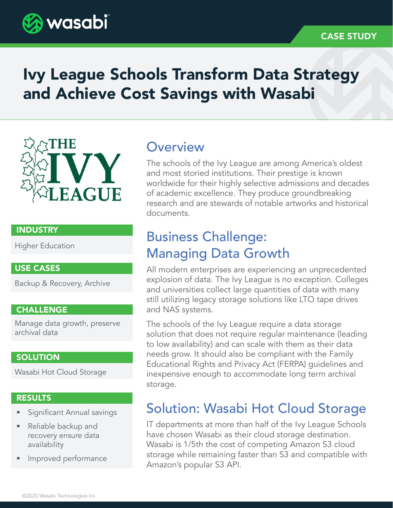

# Ivy League Schools Transform Data Strategy and Achieve Cost Savings with Wasabi

# IV; IE

### INDUSTRY

Higher Education

### USE CASES

Backup & Recovery, Archive

### CHALLENGE

Manage data growth, preserve archival data

### **SOLUTION**

Wasabi Hot Cloud Storage

### RESULTS

- Significant Annual savings
- Reliable backup and recovery ensure data availability
- Improved performance

## **Overview**

The schools of the Ivy League are among America's oldest and most storied institutions. Their prestige is known worldwide for their highly selective admissions and decades of academic excellence. They produce groundbreaking research and are stewards of notable artworks and historical documents.

# Business Challenge: Managing Data Growth

All modern enterprises are experiencing an unprecedented explosion of data. The Ivy League is no exception. Colleges and universities collect large quantities of data with many still utilizing legacy storage solutions like LTO tape drives and NAS systems.

The schools of the Ivy League require a data storage solution that does not require regular maintenance (leading to low availability) and can scale with them as their data needs grow. It should also be compliant with the Family Educational Rights and Privacy Act (FERPA) guidelines and inexpensive enough to accommodate long term archival storage.

# Solution: Wasabi Hot Cloud Storage

IT departments at more than half of the Ivy League Schools have chosen Wasabi as their cloud storage destination. Wasabi is 1/5th the cost of competing Amazon S3 cloud storage while remaining faster than S3 and compatible with Amazon's popular S3 API.